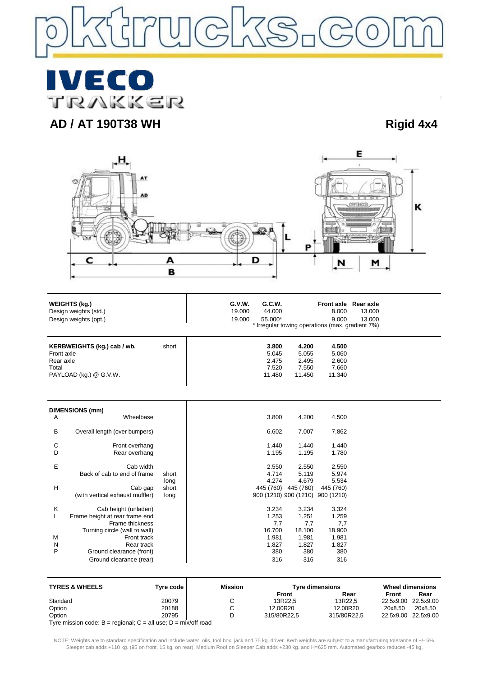

**IVECO** TRAKKER

# **AD / AT 190T38 WH Rigid 4x4**



| <b>WEIGHTS (kg.)</b><br>Design weights (std.)<br>Design weights (opt.)<br>KERBWEIGHTS (kg.) cab / wb.<br>short<br>Front axle<br>Rear axle<br>Total<br>PAYLOAD (kg.) @ G.V.W. |                                 | G.V.W.<br>Front axle Rear axle<br>G.C.W.<br>19.000<br>44.000<br>8.000<br>13.000<br>9.000<br>13.000<br>19.000<br>55.000*<br>* Irregular towing operations (max. gradient 7%) |                                            |                                            |                                            |  |
|------------------------------------------------------------------------------------------------------------------------------------------------------------------------------|---------------------------------|-----------------------------------------------------------------------------------------------------------------------------------------------------------------------------|--------------------------------------------|--------------------------------------------|--------------------------------------------|--|
|                                                                                                                                                                              |                                 |                                                                                                                                                                             | 3.800<br>5.045<br>2.475<br>7.520<br>11.480 | 4.200<br>5.055<br>2.495<br>7.550<br>11.450 | 4.500<br>5.060<br>2.600<br>7.660<br>11.340 |  |
|                                                                                                                                                                              | <b>DIMENSIONS (mm)</b>          |                                                                                                                                                                             |                                            |                                            |                                            |  |
| Α                                                                                                                                                                            | Wheelbase                       |                                                                                                                                                                             | 3.800                                      | 4.200                                      | 4.500                                      |  |
| B                                                                                                                                                                            | Overall length (over bumpers)   |                                                                                                                                                                             | 6.602                                      | 7.007                                      | 7.862                                      |  |
| C                                                                                                                                                                            | Front overhang                  |                                                                                                                                                                             | 1.440                                      | 1.440                                      | 1.440                                      |  |
| D                                                                                                                                                                            | Rear overhang                   |                                                                                                                                                                             | 1.195                                      | 1.195                                      | 1.780                                      |  |
| E                                                                                                                                                                            | Cab width                       |                                                                                                                                                                             | 2.550                                      | 2.550                                      | 2.550                                      |  |
|                                                                                                                                                                              | Back of cab to end of frame     | short                                                                                                                                                                       | 4.714                                      | 5.119                                      | 5.974                                      |  |
|                                                                                                                                                                              |                                 | long                                                                                                                                                                        | 4.274                                      | 4.679                                      | 5.534                                      |  |
| H                                                                                                                                                                            | Cab gap                         | short                                                                                                                                                                       | 445 (760) 445 (760)                        |                                            | 445 (760)                                  |  |
|                                                                                                                                                                              | (with vertical exhaust muffler) | long                                                                                                                                                                        | 900 (1210) 900 (1210) 900 (1210)           |                                            |                                            |  |
| Κ                                                                                                                                                                            | Cab height (unladen)            |                                                                                                                                                                             | 3.234                                      | 3.234                                      | 3.324                                      |  |
| L                                                                                                                                                                            | Frame height at rear frame end  |                                                                                                                                                                             | 1.253                                      | 1.251                                      | 1.259                                      |  |
|                                                                                                                                                                              | Frame thickness                 |                                                                                                                                                                             | 7,7                                        | 7,7                                        | 7,7                                        |  |
|                                                                                                                                                                              | Turning circle (wall to wall)   |                                                                                                                                                                             | 16.700                                     | 18.100                                     | 18.900                                     |  |
| M                                                                                                                                                                            | Front track                     |                                                                                                                                                                             | 1.981                                      | 1.981                                      | 1.981                                      |  |
| N                                                                                                                                                                            | Rear track                      |                                                                                                                                                                             | 1.827                                      | 1.827                                      | 1.827                                      |  |
| P                                                                                                                                                                            | Ground clearance (front)        |                                                                                                                                                                             | 380                                        | 380                                        | 380                                        |  |
|                                                                                                                                                                              | Ground clearance (rear)         |                                                                                                                                                                             | 316                                        | 316                                        | 316                                        |  |
|                                                                                                                                                                              |                                 |                                                                                                                                                                             |                                            |                                            |                                            |  |

| <b>TYRES &amp; WHEELS</b>                                            | Tyre code | Mission | <b>Tyre dimensions</b> |             | Wheel dimensions |                     |
|----------------------------------------------------------------------|-----------|---------|------------------------|-------------|------------------|---------------------|
|                                                                      |           |         | Front                  | Rear        | Front            | Rear                |
| Standard                                                             | 20079     |         | 13R22.5                | 13R22.5     |                  | 22.5x9.00 22.5x9.00 |
| Option                                                               | 20188     |         | 12.00R20               | 12.00R20    | 20x8.50          | 20x8.50             |
| Option                                                               | 20795     |         | 315/80R22.5            | 315/80R22.5 |                  | 22.5x9.00 22.5x9.00 |
| Tyre mission code: $B =$ regional; $C =$ all use; $D =$ mix/off road |           |         |                        |             |                  |                     |

NOTE: Weights are to standard specification and include water, oils, tool box, jack and 75 kg. driver. Kerb weights are subject to a manufacturing tolerance of +/- 5%. Sleeper cab adds +110 kg. (95 on front, 15 kg. on rear). Medium Roof on Sleeper Cab adds +230 kg. and H=625 mm. Automated gearbox reduces -45 kg.